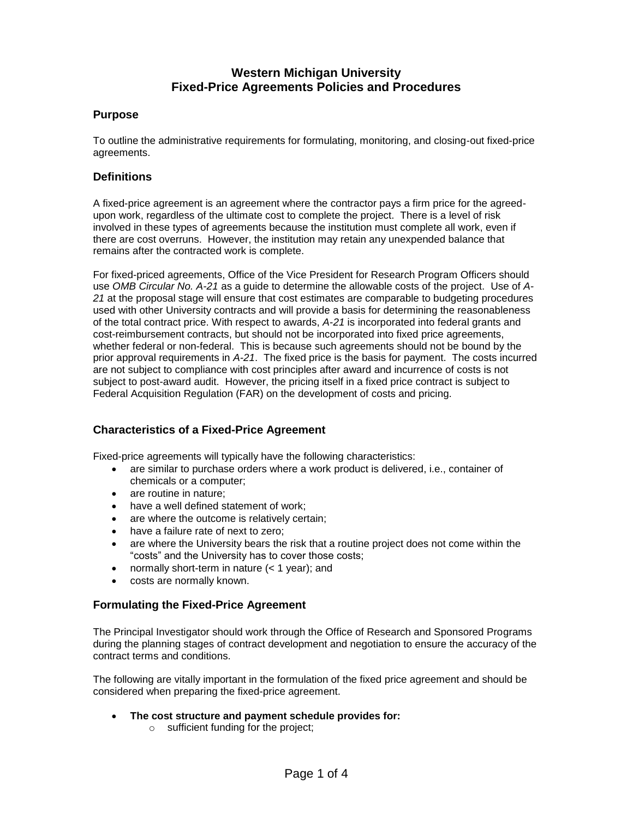## **Purpose**

To outline the administrative requirements for formulating, monitoring, and closing-out fixed-price agreements.

#### **Definitions**

A fixed-price agreement is an agreement where the contractor pays a firm price for the agreedupon work, regardless of the ultimate cost to complete the project. There is a level of risk involved in these types of agreements because the institution must complete all work, even if there are cost overruns. However, the institution may retain any unexpended balance that remains after the contracted work is complete.

For fixed-priced agreements, Office of the Vice President for Research Program Officers should use *OMB Circular No. A-21* as a guide to determine the allowable costs of the project. Use of *A-21* at the proposal stage will ensure that cost estimates are comparable to budgeting procedures used with other University contracts and will provide a basis for determining the reasonableness of the total contract price. With respect to awards, *A-21* is incorporated into federal grants and cost-reimbursement contracts, but should not be incorporated into fixed price agreements, whether federal or non-federal. This is because such agreements should not be bound by the prior approval requirements in *A-21*. The fixed price is the basis for payment. The costs incurred are not subject to compliance with cost principles after award and incurrence of costs is not subject to post-award audit. However, the pricing itself in a fixed price contract is subject to Federal Acquisition Regulation (FAR) on the development of costs and pricing.

## **Characteristics of a Fixed-Price Agreement**

Fixed-price agreements will typically have the following characteristics:

- are similar to purchase orders where a work product is delivered, i.e., container of chemicals or a computer;
- are routine in nature:
- have a well defined statement of work;
- are where the outcome is relatively certain:
- have a failure rate of next to zero;
- are where the University bears the risk that a routine project does not come within the "costs" and the University has to cover those costs;
- normally short-term in nature  $(< 1$  year); and
- costs are normally known.

## **Formulating the Fixed-Price Agreement**

The Principal Investigator should work through the Office of Research and Sponsored Programs during the planning stages of contract development and negotiation to ensure the accuracy of the contract terms and conditions.

The following are vitally important in the formulation of the fixed price agreement and should be considered when preparing the fixed-price agreement.

- **The cost structure and payment schedule provides for:**
	- o sufficient funding for the project;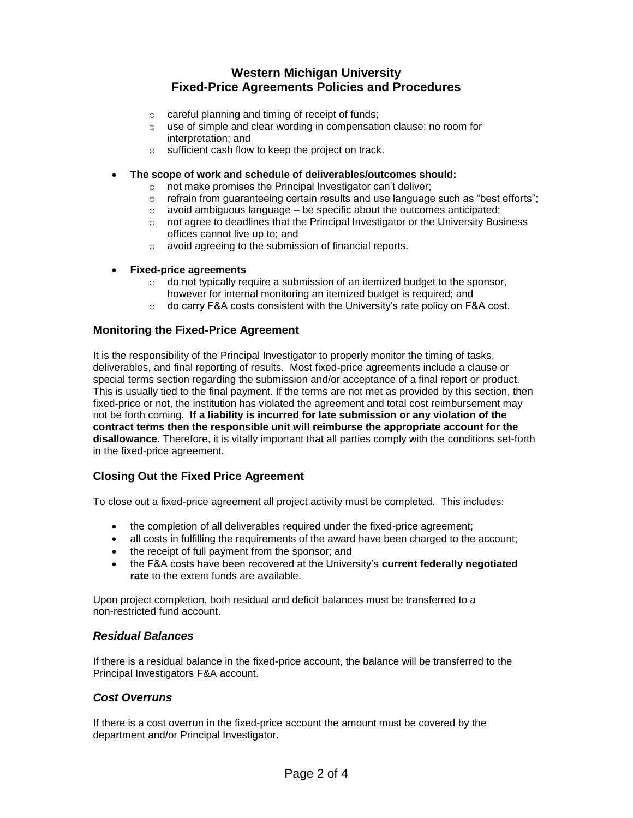- o careful planning and timing of receipt of funds;
- o use of simple and clear wording in compensation clause; no room for interpretation; and
- o sufficient cash flow to keep the project on track.
- **The scope of work and schedule of deliverables/outcomes should:**
	- o not make promises the Principal Investigator can't deliver;
	- $\circ$  refrain from guaranteeing certain results and use language such as "best efforts";
	- $\circ$  avoid ambiguous language be specific about the outcomes anticipated;
	- o not agree to deadlines that the Principal Investigator or the University Business offices cannot live up to; and
	- o avoid agreeing to the submission of financial reports.
- **Fixed-price agreements** 
	- o do not typically require a submission of an itemized budget to the sponsor, however for internal monitoring an itemized budget is required; and
	- $\circ$  do carry F&A costs consistent with the University's rate policy on F&A cost.

## **Monitoring the Fixed-Price Agreement**

It is the responsibility of the Principal Investigator to properly monitor the timing of tasks, deliverables, and final reporting of results. Most fixed-price agreements include a clause or special terms section regarding the submission and/or acceptance of a final report or product. This is usually tied to the final payment. If the terms are not met as provided by this section, then fixed-price or not, the institution has violated the agreement and total cost reimbursement may not be forth coming. **If a liability is incurred for late submission or any violation of the contract terms then the responsible unit will reimburse the appropriate account for the disallowance.** Therefore, it is vitally important that all parties comply with the conditions set-forth in the fixed-price agreement.

## **Closing Out the Fixed Price Agreement**

To close out a fixed-price agreement all project activity must be completed. This includes:

- the completion of all deliverables required under the fixed-price agreement;
- all costs in fulfilling the requirements of the award have been charged to the account;
- the receipt of full payment from the sponsor; and
- the F&A costs have been recovered at the University's **current federally negotiated rate** to the extent funds are available.

Upon project completion, both residual and deficit balances must be transferred to a non-restricted fund account.

#### *Residual Balances*

If there is a residual balance in the fixed-price account, the balance will be transferred to the Principal Investigators F&A account.

#### *Cost Overruns*

If there is a cost overrun in the fixed-price account the amount must be covered by the department and/or Principal Investigator.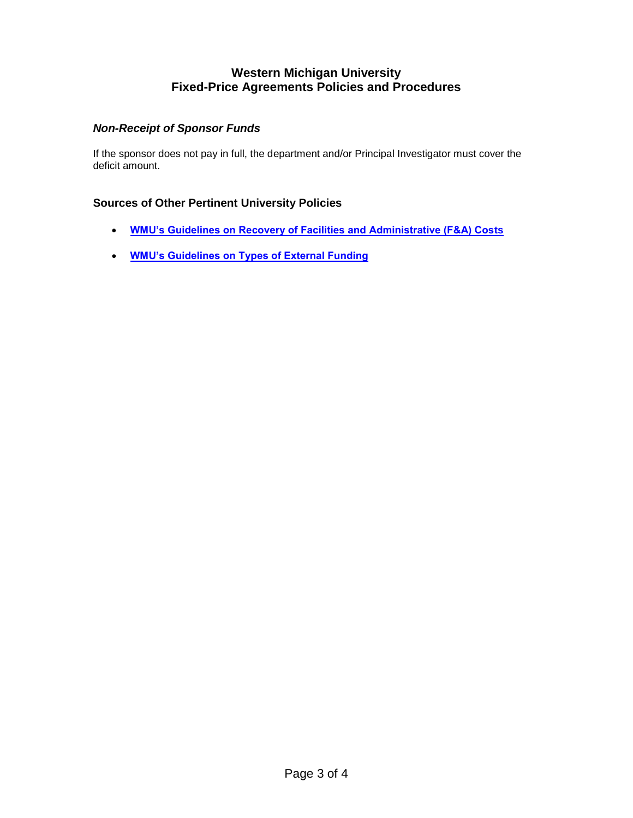# *Non-Receipt of Sponsor Funds*

If the sponsor does not pay in full, the department and/or Principal Investigator must cover the deficit amount.

# **Sources of Other Pertinent University Policies**

- **[WMU's Guidelines on Recovery of Facilities and Administrative \(F&A\) Costs](http://www.wmich.edu/research/fa-guide2003.html)**
- **[WMU's Guidelines on Types of External Funding](http://www.obf.wmich.edu/grants-contracts/docs/Types%20of%20External%20Funding.pdf)**